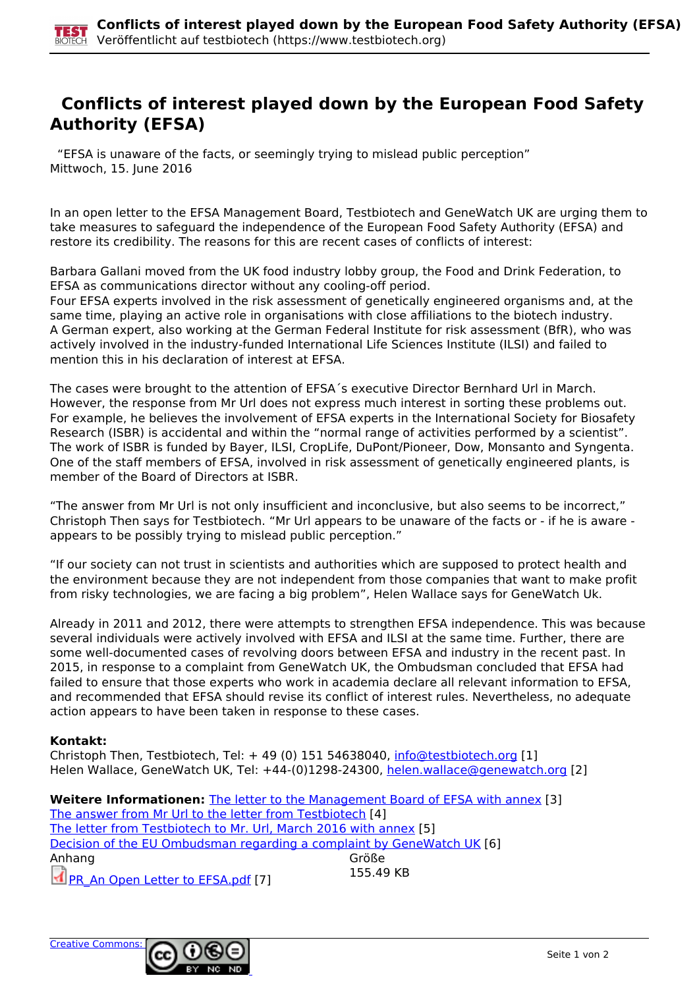

## **Conflicts of interest played down by the European Food Safety Authority (EFSA)**

 "EFSA is unaware of the facts, or seemingly trying to mislead public perception" Mittwoch, 15. June 2016

In an open letter to the EFSA Management Board, Testbiotech and GeneWatch UK are urging them to take measures to safeguard the independence of the European Food Safety Authority (EFSA) and restore its credibility. The reasons for this are recent cases of conflicts of interest:

Barbara Gallani moved from the UK food industry lobby group, the Food and Drink Federation, to EFSA as communications director without any cooling-off period.

Four EFSA experts involved in the risk assessment of genetically engineered organisms and, at the same time, playing an active role in organisations with close affiliations to the biotech industry. A German expert, also working at the German Federal Institute for risk assessment (BfR), who was actively involved in the industry-funded International Life Sciences Institute (ILSI) and failed to mention this in his declaration of interest at EFSA.

The cases were brought to the attention of EFSA´s executive Director Bernhard Url in March. However, the response from Mr Url does not express much interest in sorting these problems out. For example, he believes the involvement of EFSA experts in the International Society for Biosafety Research (ISBR) is accidental and within the "normal range of activities performed by a scientist". The work of ISBR is funded by Bayer, ILSI, CropLife, DuPont/Pioneer, Dow, Monsanto and Syngenta. One of the staff members of EFSA, involved in risk assessment of genetically engineered plants, is member of the Board of Directors at ISBR.

"The answer from Mr Url is not only insufficient and inconclusive, but also seems to be incorrect," Christoph Then says for Testbiotech. "Mr Url appears to be unaware of the facts or - if he is aware appears to be possibly trying to mislead public perception."

"If our society can not trust in scientists and authorities which are supposed to protect health and the environment because they are not independent from those companies that want to make profit from risky technologies, we are facing a big problem", Helen Wallace says for GeneWatch Uk.

Already in 2011 and 2012, there were attempts to strengthen EFSA independence. This was because several individuals were actively involved with EFSA and ILSI at the same time. Further, there are some well-documented cases of revolving doors between EFSA and industry in the recent past. In 2015, in response to a complaint from GeneWatch UK, the Ombudsman concluded that EFSA had failed to ensure that those experts who work in academia declare all relevant information to EFSA, and recommended that EFSA should revise its conflict of interest rules. Nevertheless, no adequate action appears to have been taken in response to these cases.

## **Kontakt:**

Christoph Then, Testbiotech, Tel: + 49 (0) 151 54638040, [info@testbiotech.org](mailto:info@testbiotech.org) [1] Helen Wallace, GeneWatch UK, Tel: +44-(0)1298-24300, helen.wallace@genewatch.org [2]

**Weitere Informationen:** The letter to the Management Board of EFSA with annex [3] The answer from Mr Url to the letter from Testbiotech [4] The letter from Testbiotech to Mr. Url, March 2016 with annex [5] Decision of the EU Ombudsman regarding a complaint by GeneWatch UK [6] Anhang Größe PR An Open Letter to EFSA.pdf [7] 155.49 KB